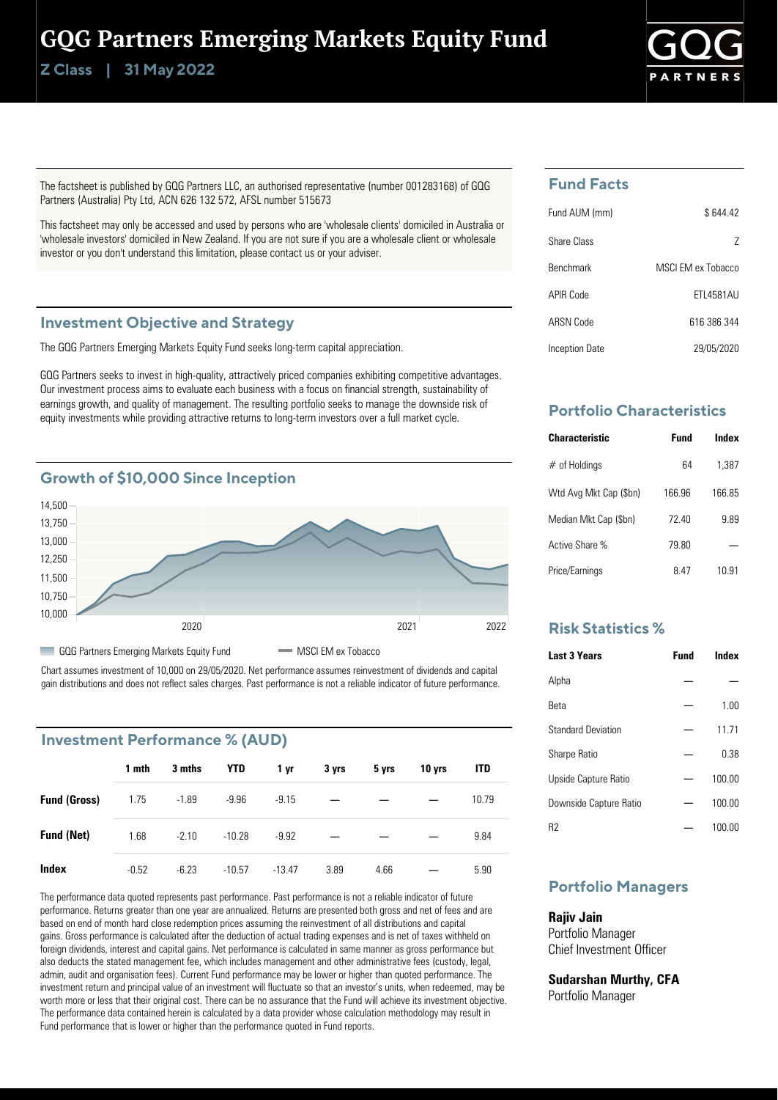## GQG Partners Emerging Markets Equity Fund

**Class | Z 31 May 2022**



The factsheet is published by GQG Partners LLC, an authorised representative (number 001283168) of GQG Partners (Australia) Pty Ltd, ACN 626 132 572, AFSL number 515673

This factsheet may only be accessed and used by persons who are 'wholesale clients' domiciled in Australia or 'wholesale investors' domiciled in New Zealand. If you are not sure if you are a wholesale client or wholesale investor or you don't understand this limitation, please contact us or your adviser.

### **Investment Objective and Strategy**

The GQG Partners Emerging Markets Equity Fund seeks long-term capital appreciation.

GQG Partners seeks to invest in high-quality, attractively priced companies exhibiting competitive advantages. Our investment process aims to evaluate each business with a focus on financial strength, sustainability of earnings growth, and quality of management. The resulting portfolio seeks to manage the downside risk of equity investments while providing attractive returns to long-term investors over a full market cycle.



Chart assumes investment of 10,000 on 29/05/2020. Net performance assumes reinvestment of dividends and capital gain distributions and does not reflect sales charges. Past performance is not a reliable indicator of future performance.

### **Investment Performance % (AUD)**

|                     | 1 mth   | 3 mths  | YTD      | 1 yr     | 3 yrs | 5 yrs | 10 yrs | ITD   |
|---------------------|---------|---------|----------|----------|-------|-------|--------|-------|
| <b>Fund (Gross)</b> | 1.75    | $-1.89$ | $-9.96$  | $-9.15$  |       |       |        | 10.79 |
| <b>Fund (Net)</b>   | 1.68    | $-2.10$ | $-10.28$ | $-9.92$  |       |       |        | 9.84  |
| Index               | $-0.52$ | $-6.23$ | $-10.57$ | $-13.47$ | 3.89  | 4.66  |        | 5.90  |

The performance data quoted represents past performance. Past performance is not a reliable indicator of future performance. Returns greater than one year are annualized. Returns are presented both gross and net of fees and are based on end of month hard close redemption prices assuming the reinvestment of all distributions and capital gains. Gross performance is calculated after the deduction of actual trading expenses and is net of taxes withheld on foreign dividends, interest and capital gains. Net performance is calculated in same manner as gross performance but also deducts the stated management fee, which includes management and other administrative fees (custody, legal, admin, audit and organisation fees). Current Fund performance may be lower or higher than quoted performance. The investment return and principal value of an investment will fluctuate so that an investor's units, when redeemed, may be worth more or less that their original cost. There can be no assurance that the Fund will achieve its investment objective. The performance data contained herein is calculated by a data provider whose calculation methodology may result in Fund performance that is lower or higher than the performance quoted in Fund reports.

## **Fund Facts**

| Fund AUM (mm)    | \$644.42          |
|------------------|-------------------|
| Share Class      | 7                 |
| <b>Benchmark</b> | MSCLEM ex Tobacco |
| APIR Code        | FTI 4581AU        |
| ARSN Code        | 616 386 344       |
| Inception Date   | 29/05/2020        |

## **Portfolio Characteristics**

| <b>Characteristic</b>  | Fund   | Index |
|------------------------|--------|-------|
| $#$ of Holdings        | 64     | 1.387 |
| Wtd Avg Mkt Cap (\$bn) | 166.96 | 16685 |
| Median Mkt Cap (\$bn)  | 72 40  | 9.89  |
| Active Share %         | 79.80  |       |
| Price/Earnings         | 8 47   | 10.91 |

### **Risk Statistics %**

| <b>Last 3 Years</b>       | <b>Fund</b> | Index  |
|---------------------------|-------------|--------|
| Alpha                     |             |        |
| <b>Reta</b>               |             | 1.00   |
| <b>Standard Deviation</b> |             | 11.71  |
| <b>Sharpe Ratio</b>       |             | 0.38   |
| Upside Capture Ratio      |             | 100.00 |
| Downside Capture Ratio    |             | 100.00 |
| R2                        |             | 100.00 |

## **Portfolio Managers**

### **Rajiv Jain**

Portfolio Manager Chief Investment Officer

**Sudarshan Murthy, CFA** Portfolio Manager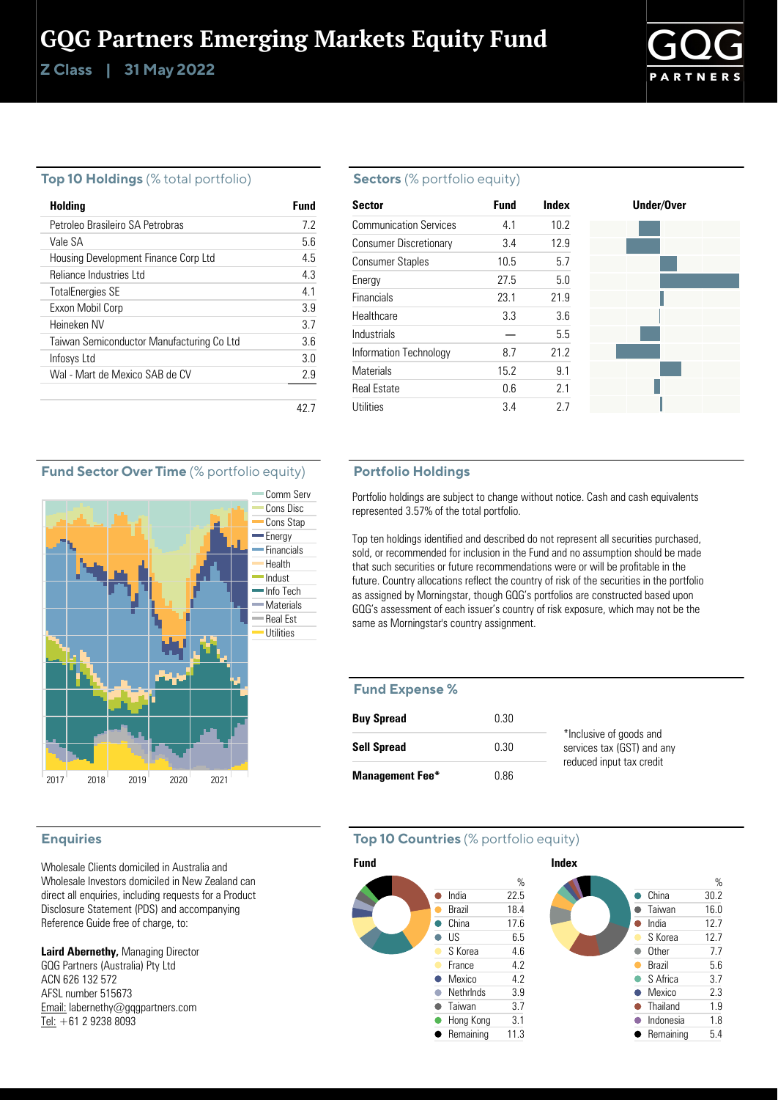# GQG Partners Emerging Markets Equity Fund

**Class | Z 31 May 2022**



### **Top 10 Holdings** (% total portfolio)

| Holding                                   | Fund |
|-------------------------------------------|------|
| Petroleo Brasileiro SA Petrobras          | 72   |
| Vale SA                                   | 56   |
| Housing Development Finance Corp Ltd      | 45   |
| Reliance Industries Ltd                   | 43   |
| <b>TotalEnergies SE</b>                   | 41   |
| Exxon Mobil Corp                          | 3.9  |
| Heineken NV                               | 37   |
| Taiwan Semiconductor Manufacturing Co Ltd | 36   |
| Infosys Ltd                               | 30   |
| Wal - Mart de Mexico SAB de CV            | 2.9  |
|                                           |      |
|                                           |      |

### **Sectors** (% portfolio equity)

| <b>Sector</b>                 | <b>Fund</b> | Index | Under/Over |
|-------------------------------|-------------|-------|------------|
| <b>Communication Services</b> | 4.1         | 10.2  |            |
| <b>Consumer Discretionary</b> | 3.4         | 12.9  |            |
| <b>Consumer Staples</b>       | 10.5        | 5.7   |            |
| Energy                        | 27.5        | 5.0   |            |
| <b>Financials</b>             | 23.1        | 21.9  |            |
| Healthcare                    | 3.3         | 3.6   |            |
| Industrials                   |             | 5.5   |            |
| Information Technology        | 8.7         | 21.2  |            |
| <b>Materials</b>              | 15.2        | 9.1   |            |
| <b>Real Estate</b>            | 0.6         | 2.1   |            |
| Utilities                     | 3.4         | 27    |            |

### **Fund Sector Over Time** (% portfolio equity)



### **Enquiries**

Wholesale Clients domiciled in Australia and Wholesale Investors domiciled in New Zealand can direct all enquiries, including requests for a Product Disclosure Statement (PDS) and accompanying Reference Guide free of charge, to:

**Laird Abernethy,** Managing Director GQG Partners (Australia) Pty Ltd ACN 626 132 572 AFSL number 515673 Email: labernethy@gqgpartners.com Tel: +61 2 9238 8093

### **Portfolio Holdings**

Portfolio holdings are subject to change without notice. Cash and cash equivalents represented 3.57% of the total portfolio.

Top ten holdings identified and described do not represent all securities purchased, sold, or recommended for inclusion in the Fund and no assumption should be made that such securities or future recommendations were or will be profitable in the future. Country allocations reflect the country of risk of the securities in the portfolio as assigned by Morningstar, though GQG's portfolios are constructed based upon GQG's assessment of each issuer's country of risk exposure, which may not be the same as Morningstar's country assignment.

#### **Fund Expense %**

| <b>Buy Spread</b>      | 0.30 |                                                       |
|------------------------|------|-------------------------------------------------------|
| <b>Sell Spread</b>     | 0.30 | *Inclusive of goods and<br>services tax (GST) and any |
| <b>Management Fee*</b> | 0.86 | reduced input tax credit                              |

### **Top 10 Countries** (% portfolio equity)